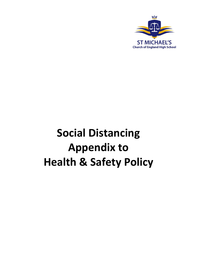

# **Social Distancing Appendix to Health & Safety Policy**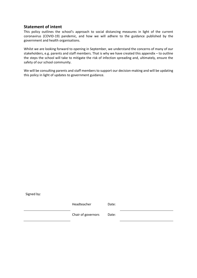# **Statement of intent**

This policy outlines the school's approach to social distancing measures in light of the current coronavirus (COVID-19) pandemic, and how we will adhere to the guidance published by the government and health organisations.

Whilst we are looking forward to opening in September, we understand the concerns of many of our stakeholders, e.g. parents and staff members. That is why we have created this appendix – to outline the steps the school will take to mitigate the risk of infection spreading and, ultimately, ensure the safety of our school community.

We will be consulting parents and staff members to support our decision-making and will be updating this policy in light of updates to government guidance.

Signed by:

Headteacher Date:

Chair of governors Date: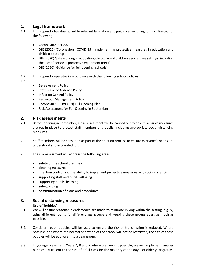# **1. Legal framework**

- This appendix has due regard to relevant legislation and guidance, including, but not limited to, the following:
	- Coronavirus Act 2020
	- DfE (2020) 'Coronavirus (COVID-19): implementing protective measures in education and childcare settings'
	- DfE (2020) 'Safe working in education, childcare and children's social care settings, including the use of personal protective equipment (PPE)'
	- DfE (2020) 'Guidance for full opening: schools'
- 1.2. This appendix operates in accordance with the following school policies:
- 1.3.
- Bereavement Policy
- Staff Leave of Absence Policy
- Infection Control Policy
- **•** Behaviour Management Policy
- Coronavirus (COVID-19) Full Opening Plan
- Risk Assessment for Full Opening in September

# **2. Risk assessments**

- 2.1. Before opening in September, a risk assessment will be carried out to ensure sensible measures are put in place to protect staff members and pupils, including appropriate social distancing measures.
- 2.2. Staff members will be consulted as part of the creation process to ensure everyone's needs are understood and accounted for.
- 2.3. The risk assessment will address the following areas:
	- safety of the school premises
	- cleaning measures
	- infection control and the ability to implement protective measures, e.g. social distancing
	- supporting staff and pupil wellbeing
	- supporting pupils' learning
	- safeguarding
	- communication of plans and procedures

#### **3. Social distancing measures**

#### **Use of 'bubbles'**

- 3.1. We will ensure reasonable endeavours are made to minimise mixing within the setting, e.g. by using different rooms for different age groups and keeping these groups apart as much as possible.
- 3.2. Consistent pupil bubbles will be used to ensure the risk of transmission is reduced. Where possible, and where the normal operation of the school will not be restricted, the size of these bubbles will be equivalent to a year group.
- 3.3. In younger years, e.g. Years 7, 8 and 9 where we deem it possible, we will implement smaller bubbles equivalent to the size of a full class for the majority of the day. For older year groups,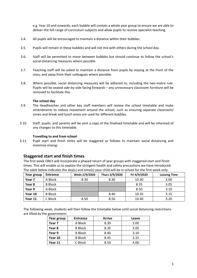e.g. Year 10 and onwards, each bubble will contain a whole year group to ensure we are able to deliver the full range of curriculum subjects and allow pupils to receive specialist teaching.

- 3.4. All pupils will be encouraged to maintain a distance within their bubbles.
- 3.5. Pupils will remain in these bubbles and will not mix with others during the school day.
- 3.6. Staff will be permitted to move between bubbles but should continue to follow the school's social distancing measures where possible.
- 3.7. Teaching staff will be asked to maintain a distance from pupils by staying at the front of the class, and away from their colleagues where possible.
- 3.8. Where possible, social distancing measures will be adhered to, including the two-metre rule. Pupils will be seated side-by-side facing forwards – any unnecessary classroom furniture will be removed to facilitate this.

#### **The school day**

- 3.9. The Headteacher and other key staff members will review the school timetable and make amendments to reduce movement around the school, such as ensuring separate classroom/ zones and break and lunch areas are used for different bubbles.
- 3.10. Staff, pupils, and parents will be sent a copy of the finalised timetable and will be informed of any changes to this timetable.

#### **Travelling to and from school**

3.11. Pupil start and finish times will be staggered as follows to maintain social distancing and minimise mixing:

# **Staggered start and finish times**

The first week ONLY will incorporate a phased return of year groups with staggered start and finish times. This will enable us to explain the stringent health and safety precautions we have introduced. The table below indicates the day(s) and time(s) your child will be in school for the first week only.

| Year group | Entrance       | Weds 2/9/2020 | Thurs 3/9/2020 | Fri 4/9/2020 | <b>Leaving Time</b> |
|------------|----------------|---------------|----------------|--------------|---------------------|
| Year 7     | A Block        | 8.30          | 8.30           | 10.30        | 3.00                |
| Year 8     | <b>B</b> Block |               |                | 8.35         | 3.05                |
| Year 9     | A Block        |               |                | 8.50         | 3.10                |
| Year 10    | <b>B</b> Block |               | 8.40           | 10.35        | 3.15                |
| Year 11    | C Block        | 8.50          | 8.50           | 10.40        | 3.20                |

The following week, students will then follow the timetable below until social distancing restrictions are lifted by the government:

| Year group | <b>Entrance</b> | <b>Arrive</b> | Leave |
|------------|-----------------|---------------|-------|
| Year 7     | A Block         | 8.30          | 3.00  |
| Year 8     | <b>B</b> Block  | 8.35          |       |
| Year 9     | A Block         | 8.40          | 3.10  |
| Year 10    | <b>B</b> Block  | 8.45          | 3.15  |
| Year 11    | C Block         | 8.50          | 4.00  |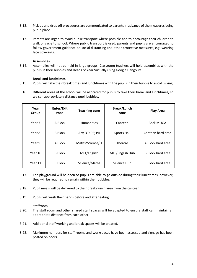- 3.12. Pick up and drop off procedures are communicated to parents in advance of the measures being put in place.
- 3.13. Parents are urged to avoid public transport where possible and to encourage their children to walk or cycle to school. Where public transport is used, parents and pupils are encouraged to follow government guidance on social distancing and other protective measures, e.g. wearing face coverings.

#### **Assemblies**

3.14. Assemblies will not be held in large groups. Classroom teachers will hold assemblies with the pupils in their bubbles and Heads of Year Virtually using Google Hangouts.

#### **Break and lunchtimes**

- 3.15. Pupils will take their break times and lunchtimes with the pupils in their bubble to avoid mixing.
- 3.16. Different areas of the school will be allocated for pupils to take their break and lunchtimes, so we can appropriately distance pupil bubbles.

| Year<br>Group | Enter/Exit<br>zone | <b>Teaching zone</b> | <b>Break/Lunch</b><br>zone | <b>Play Area</b>         |
|---------------|--------------------|----------------------|----------------------------|--------------------------|
| Year 7        | A Block            | <b>Humanities</b>    | Canteen                    | <b>Back MUGA</b>         |
| Year 8        | <b>B</b> Block     | Art; DT; PE; PA      | Sports Hall                | Canteen hard area        |
| Year 9        | A Block            | Maths/Science/IT     | Theatre                    | A Block hard area        |
| Year 10       | <b>B</b> Block     | MFL/English          | MFL/English Hub            | <b>B</b> Block hard area |
| Year 11       | C Block            | Science/Maths        | Science Hub                | C Block hard area        |

- 3.17. The playground will be open so pupils are able to go outside during their lunchtimes; however, they will be required to remain within their bubbles.
- 3.18. Pupil meals will be delivered to their break/lunch area from the canteen.
- 3.19. Pupils will wash their hands before and after eating.

#### Staffroom

- 3.20. The staff room and other shared staff spaces will be adapted to ensure staff can maintain an appropriate distance from each other.
- 3.21. Additional staff working and break spaces will be created.
- 3.22. Maximum numbers for staff rooms and workspaces have been assessed and signage has been posted on doors.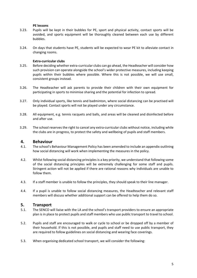#### **PE lessons**

- 3.23. Pupils will be kept in their bubbles for PE, sport and physical activity, contact sports will be avoided, and sports equipment will be thoroughly cleaned between each use by different bubbles.
- 3.24. On days that students have PE, students will be expected to wear PE kit to alleviate contact in changing rooms.

#### **Extra-curricular clubs**

- 3.25. Before deciding whether extra-curricular clubs can go ahead, the Headteacher will consider how such provision can operate alongside the school's wider protective measures, including keeping pupils within their bubbles where possible. Where this is not possible, we will use small, consistent groups instead.
- 3.26. The Headteacher will ask parents to provide their children with their own equipment for participating in sports to minimise sharing and the potential for infection to spread.
- 3.27. Only individual sports, like tennis and badminton, where social distancing can be practised will be played. Contact sports will not be played under any circumstance.
- 3.28. All equipment, e.g. tennis racquets and balls, and areas will be cleaned and disinfected before and after use.
- 3.29. The school reserves the right to cancel any extra-curricular clubs without notice, including while the clubs are in progress, to protect the safety and wellbeing of pupils and staff members.

#### **4. Behaviour**

- 4.1. The school's Behaviour Management Policy has been amended to include an appendix outlining how social distancing will work when implementing the measures in the policy.
- 4.2. Whilst following social distancing principles is a key priority, we understand that following some of the social distancing principles will be extremely challenging for some staff and pupils. Stringent action will not be applied if there are rational reasons why individuals are unable to follow them.
- 4.3. If a staff member is unable to follow the principles, they should speak to their line manager.
- 4.4. If a pupil is unable to follow social distancing measures, the Headteacher and relevant staff members will discuss whether additional support can be offered to help them do so.

# **5. Transport**

- 5.1. The SENCO will liaise with the LA and the school's transport providers to ensure an appropriate plan is in place to protect pupils and staff members who use public transport to travel to school.
- 5.2. Pupils and staff are encouraged to walk or cycle to school or be dropped off by a member of their household. If this is not possible, and pupils and staff need to use public transport, they are required to follow guidelines on social distancing and wearing face coverings.
- 5.3. When organising dedicated school transport, we will consider the following: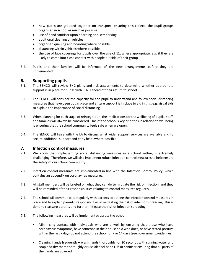- how pupils are grouped together on transport, ensuring this reflects the pupil groups organised in school as much as possible
- use of hand sanitiser upon boarding or disembarking
- additional cleaning of vehicles
- organised queuing and boarding where possible
- distancing within vehicles where possible
- the use of face coverings for pupils over the age of 11, where appropriate, e.g. if they are likely to come into close contact with people outside of their group
- 5.4. Pupils and their families will be informed of the new arrangements before they are implemented.

# **6. Supporting pupils**

- 6.1. The SENCO will review EHC plans and risk assessments to determine whether appropriate support is in place for pupils with SEND ahead of their return to school.
- 6.2. The SENCO will consider the capacity for the pupil to understand and follow social distancing measures that have been put in place and ensure support is in place to aid in this, e.g. visual aids to explain the importance of social distancing.
- 6.3. When planning for each stage of reintegration, the implications for the wellbeing of pupils, staff, and families will always be considered. One of the school's key priorities in relation to wellbeing is ensuring that the school community feels safe when we open.
- 6.4. The SENCO will liaise with the LA to discuss what wider support services are available and to secure additional support and early help, where possible.

# **7. Infection control measures**

- 7.1. We know that implementing social distancing measures in a school setting is extremely challenging. Therefore, we will also implement robust infection control measures to help ensure the safety of our school community.
- 7.2. Infection control measures are implemented in line with the Infection Control Policy, which contains an appendix on coronavirus measures.
- 7.3. All staff members will be briefed on what they can do to mitigate the risk of infection, and they will be reminded of their responsibilities relating to control measures regularly.
- 7.4. The school will communicate regularly with parents to outline the infection control measures in place and to explain parents' responsibilities in mitigating the risk of infection spreading. This is done to reassure parents and further mitigate the risk of infection spreading.
- 7.5. The following measures will be implemented across the school:
	- Minimising contact with individuals who are unwell by ensuring that those who have coronavirus symptoms, have someone in their household who does, or have tested positive within the last 7 days do not attend the school for 7 or 14 days (see government guidelines).
	- Cleaning hands frequently wash hands thoroughly for 20 seconds with running water and soap and dry them thoroughly or use alcohol hand rub or sanitiser ensuring that all parts of the hands are covered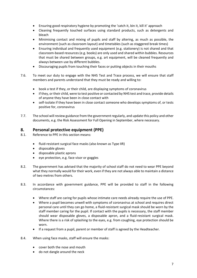- Ensuring good respiratory hygiene by promoting the 'catch it, bin it, kill it' approach
- Cleaning frequently touched surfaces using standard products, such as detergents and bleach
- Minimising contact and mixing of pupils and staff by altering, as much as possible, the environment (such as classroom layout) and timetables (such as staggered break times)
- Ensuring individual and frequently used equipment (e.g. stationery) is not shared and that classroom-based resources (e.g. books) are only used and shared within bubbles. Resources that must be shared between groups, e.g. art equipment, will be cleaned frequently and always between use by different bubbles.
- Discouraging pupils from touching their faces or putting objects in their mouths
- 7.6. To meet our duty to engage with the NHS Test and Trace process, we will ensure that staff members and parents understand that they must be ready and willing to:
	- book a test if they, or their child, are displaying symptoms of coronavirus
	- if they, or their child, were to test positive or contacted by NHS test and trace, provide details of anyone they have been in close contact with
	- self-isolate if they have been in close contact someone who develops symptoms of, or tests positive for, coronavirus
- 7.7. The school will review guidance from the government regularly, and update this policy and other documents, e.g. the Risk Assessment for Full Opening in September, where necessary.

# **8. Personal protective equipment (PPE)**

- 8.1. Reference to PPE in this section means:
	- fluid-resistant surgical face masks (also known as Type IIR)
	- disposable gloves
	- disposable plastic aprons
	- eye protection, e.g. face visor or goggles
- 8.2. The government has advised that the majority of school staff do not need to wear PPE beyond what they normally would for their work, even if they are not always able to maintain a distance of two metres from others.
- 8.3. In accordance with government guidance, PPE will be provided to staff in the following circumstances:
	- Where staff are caring for pupils whose intimate care needs already require the use of PPE.
	- Where a pupil becomes unwell with symptoms of coronavirus at school and requires direct personal care until they can go home, a fluid-resistant surgical mask should be worn by the staff member caring for the pupil. If contact with the pupils is necessary, the staff member should wear disposable gloves, a disposable apron, and a fluid-resistant surgical mask. Where there is a risk of splashing to the eyes, e.g. from coughing, eye protection should be worn.
	- If a request from a pupil, parent or member of staff is agreed by the Headteacher.
- 8.4. When using face masks, staff will ensure the masks:
	- cover both the nose and mouth
	- do not dangle around the neck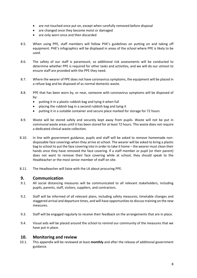- are not touched once put on, except when carefully removed before disposal
- are changed once they become moist or damaged
- are only worn once and then discarded
- 8.5. When using PPE, staff members will follow [PHE's guidelines](https://www.gov.uk/government/publications/covid-19-personal-protective-equipment-use-for-non-aerosol-generating-procedures) on putting on and taking off equipment. PHE's infographics will be displayed in areas of the school where PPE is likely to be used.
- 8.6. The safety of our staff is paramount, so additional risk assessments will be conducted to determine whether PPE is required for other tasks and activities, and we will do our utmost to ensure staff are provided with the PPE they need.
- 8.7. Where the wearer of PPE does not have coronavirus symptoms, the equipment will be placed in a refuse bag and be disposed of as normal domestic waste.
- 8.8. PPE that has been worn by, or near, someone with coronavirus symptoms will be disposed of by:
	- putting it in a plastic rubbish bag and tying it when full
	- placing the rubbish bag in a second rubbish bag and tying it
	- putting it in a suitable container and secure place marked for storage for 72 hours
- 8.9. Waste will be stored safely and securely kept away from pupils. Waste will not be put in communal waste areas until it has been stored for at least 72 hours. This waste does not require a dedicated clinical waste collection.
- 8.10. In line with government guidance, pupils and staff will be asked to remove homemade nondisposable face coverings when they arrive at school. The wearer will be asked to bring a plastic bag to school to put the face covering into in order to take it home – the wearer must clean their hands once they have removed the face covering. If a staff member or pupil (or their parent) does not want to remove their face covering while at school, they should speak to the Headteacher or the most senior member of staff on site.
- 8.11. The Headteacher will liaise with the LA about procuring PPE.

# **9. Communication**

- 9.1. All social distancing measures will be communicated to all relevant stakeholders, including pupils, parents, staff, visitors, suppliers, and contractors.
- 9.2. Staff will be informed of all relevant plans, including safety measures, timetable changes and staggered arrival and departure times, and will have opportunities to discuss training on the new measures.
- 9.3. Staff will be engaged regularly to receive their feedback on the arrangements that are in place.
- 9.4. Visual aids will be placed around the school to remind our community of the measures that we have put in place.

#### **10. Monitoring and review**

10.1. This appendix will be reviewed at least **monthly** and after the release of additional government guidance.